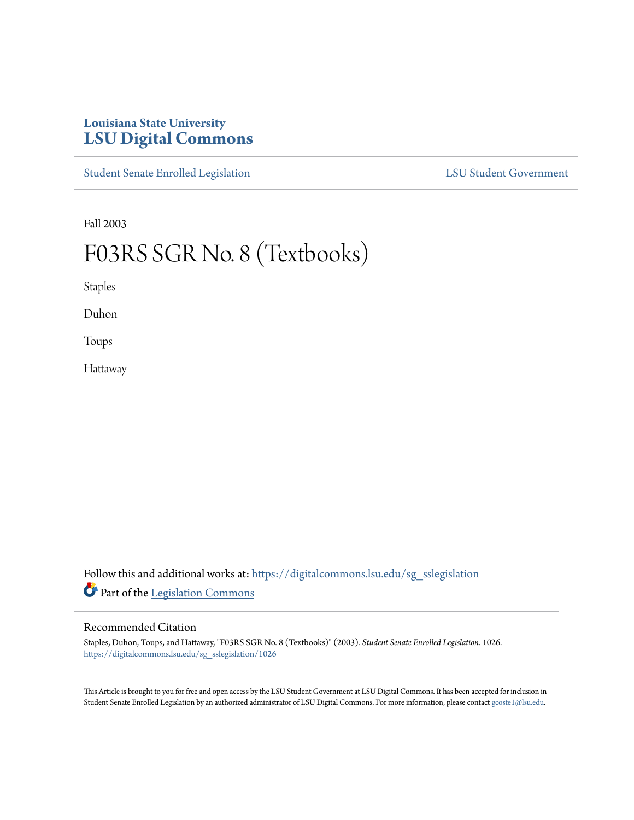# **Louisiana State University [LSU Digital Commons](https://digitalcommons.lsu.edu?utm_source=digitalcommons.lsu.edu%2Fsg_sslegislation%2F1026&utm_medium=PDF&utm_campaign=PDFCoverPages)**

[Student Senate Enrolled Legislation](https://digitalcommons.lsu.edu/sg_sslegislation?utm_source=digitalcommons.lsu.edu%2Fsg_sslegislation%2F1026&utm_medium=PDF&utm_campaign=PDFCoverPages) [LSU Student Government](https://digitalcommons.lsu.edu/sg?utm_source=digitalcommons.lsu.edu%2Fsg_sslegislation%2F1026&utm_medium=PDF&utm_campaign=PDFCoverPages)

Fall 2003

# F03RS SGR No. 8 (Textbooks)

Staples

Duhon

Toups

Hattaway

Follow this and additional works at: [https://digitalcommons.lsu.edu/sg\\_sslegislation](https://digitalcommons.lsu.edu/sg_sslegislation?utm_source=digitalcommons.lsu.edu%2Fsg_sslegislation%2F1026&utm_medium=PDF&utm_campaign=PDFCoverPages) Part of the [Legislation Commons](http://network.bepress.com/hgg/discipline/859?utm_source=digitalcommons.lsu.edu%2Fsg_sslegislation%2F1026&utm_medium=PDF&utm_campaign=PDFCoverPages)

#### Recommended Citation

Staples, Duhon, Toups, and Hattaway, "F03RS SGR No. 8 (Textbooks)" (2003). *Student Senate Enrolled Legislation*. 1026. [https://digitalcommons.lsu.edu/sg\\_sslegislation/1026](https://digitalcommons.lsu.edu/sg_sslegislation/1026?utm_source=digitalcommons.lsu.edu%2Fsg_sslegislation%2F1026&utm_medium=PDF&utm_campaign=PDFCoverPages)

This Article is brought to you for free and open access by the LSU Student Government at LSU Digital Commons. It has been accepted for inclusion in Student Senate Enrolled Legislation by an authorized administrator of LSU Digital Commons. For more information, please contact [gcoste1@lsu.edu.](mailto:gcoste1@lsu.edu)